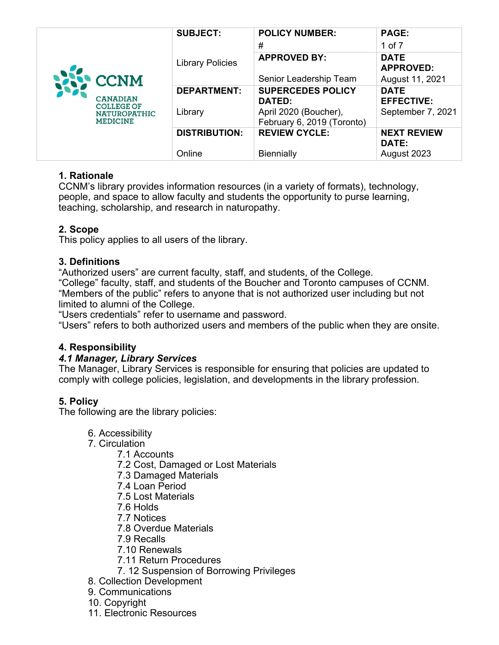|                                                                                                   | <b>SUBJECT:</b>         | <b>POLICY NUMBER:</b>                               | <b>PAGE:</b>                     |
|---------------------------------------------------------------------------------------------------|-------------------------|-----------------------------------------------------|----------------------------------|
| <b>NEW CONM</b><br><b>CANADIAN</b><br><b>COLLEGE OF</b><br><b>NATUROPATHIC</b><br><b>MEDICINE</b> |                         | #                                                   | 1 of $7$                         |
|                                                                                                   | <b>Library Policies</b> | <b>APPROVED BY:</b>                                 | <b>DATE</b><br><b>APPROVED:</b>  |
|                                                                                                   |                         | Senior Leadership Team                              | August 11, 2021                  |
|                                                                                                   | <b>DEPARTMENT:</b>      | <b>SUPERCEDES POLICY</b><br>DATED:                  | <b>DATE</b><br><b>EFFECTIVE:</b> |
|                                                                                                   | Library                 | April 2020 (Boucher),<br>February 6, 2019 (Toronto) | September 7, 2021                |
|                                                                                                   | <b>DISTRIBUTION:</b>    | <b>REVIEW CYCLE:</b>                                | <b>NEXT REVIEW</b><br>DATE:      |
|                                                                                                   | Online                  | Biennially                                          | August 2023                      |

# **1. Rationale**

CCNM's library provides information resources (in a variety of formats), technology, people, and space to allow faculty and students the opportunity to purse learning, teaching, scholarship, and research in naturopathy.

## **2. Scope**

This policy applies to all users of the library.

# **3. Definitions**

"Authorized users" are current faculty, staff, and students, of the College.

"College" faculty, staff, and students of the Boucher and Toronto campuses of CCNM. "Members of the public" refers to anyone that is not authorized user including but not limited to alumni of the College.

"Users credentials" refer to username and password.

"Users" refers to both authorized users and members of the public when they are onsite.

# **4. Responsibility**

## *4.1 Manager, Library Services*

The Manager, Library Services is responsible for ensuring that policies are updated to comply with college policies, legislation, and developments in the library profession.

# **5. Policy**

The following are the library policies:

- 6. Accessibility
- 7. Circulation
	- 7.1 Accounts
		- 7.2 Cost, Damaged or Lost Materials
		- 7.3 Damaged Materials
		- 7.4 Loan Period
		- 7.5 Lost Materials
		- 7.6 Holds
		- 7.7 Notices
		- 7.8 Overdue Materials
		- 7.9 Recalls
		- 7.10 Renewals
		- 7.11 Return Procedures
		- 7. 12 Suspension of Borrowing Privileges
- 8. Collection Development
- 9. Communications
- 10. Copyright
- 11. Electronic Resources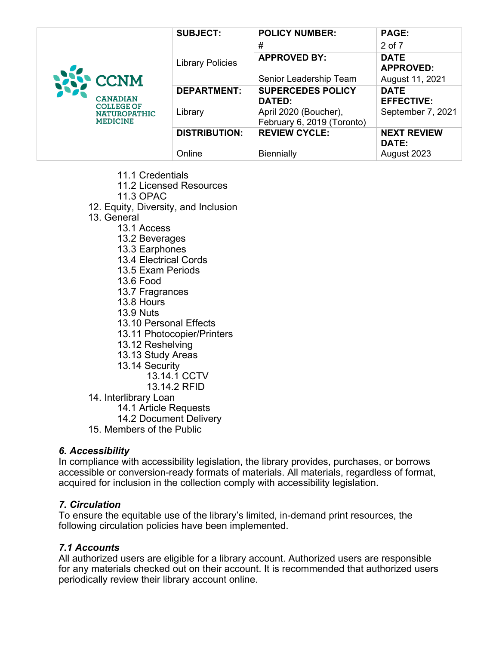|                                                                                                   | <b>SUBJECT:</b>         | <b>POLICY NUMBER:</b>      | <b>PAGE:</b>                    |
|---------------------------------------------------------------------------------------------------|-------------------------|----------------------------|---------------------------------|
| <b>NEW CCNM</b><br><b>CANADIAN</b><br><b>COLLEGE OF</b><br><b>NATUROPATHIC</b><br><b>MEDICINE</b> |                         | #                          | 2 of 7                          |
|                                                                                                   | <b>Library Policies</b> | <b>APPROVED BY:</b>        | <b>DATE</b><br><b>APPROVED:</b> |
|                                                                                                   |                         | Senior Leadership Team     | August 11, 2021                 |
|                                                                                                   | <b>DEPARTMENT:</b>      | <b>SUPERCEDES POLICY</b>   | <b>DATE</b>                     |
|                                                                                                   |                         | DATED:                     | <b>EFFECTIVE:</b>               |
|                                                                                                   | Library                 | April 2020 (Boucher),      | September 7, 2021               |
|                                                                                                   |                         | February 6, 2019 (Toronto) |                                 |
|                                                                                                   | <b>DISTRIBUTION:</b>    | <b>REVIEW CYCLE:</b>       | <b>NEXT REVIEW</b>              |
|                                                                                                   |                         |                            | <b>DATE:</b>                    |
|                                                                                                   | Online                  | <b>Biennially</b>          | August 2023                     |

- 11.1 Credentials
- 11.2 Licensed Resources
- 11.3 OPAC
- 12. Equity, Diversity, and Inclusion
- 13. General
	- 13.1 Access
	- 13.2 Beverages
	- 13.3 Earphones
	- 13.4 Electrical Cords
	- 13.5 Exam Periods
	- 13.6 Food
	- 13.7 Fragrances
	- 13.8 Hours
	- 13.9 Nuts
	- 13.10 Personal Effects
	- 13.11 Photocopier/Printers
	- 13.12 Reshelving
	- 13.13 Study Areas
	- 13.14 Security
		- 13.14.1 CCTV
		- 13.14.2 RFID
- 14. Interlibrary Loan
	- 14.1 Article Requests
	- 14.2 Document Delivery
- 15. Members of the Public

#### *6. Accessibility*

In compliance with accessibility legislation, the library provides, purchases, or borrows accessible or conversion-ready formats of materials. All materials, regardless of format, acquired for inclusion in the collection comply with accessibility legislation.

#### *7. Circulation*

To ensure the equitable use of the library's limited, in-demand print resources, the following circulation policies have been implemented.

#### *7.1 Accounts*

All authorized users are eligible for a library account. Authorized users are responsible for any materials checked out on their account. It is recommended that authorized users periodically review their library account online.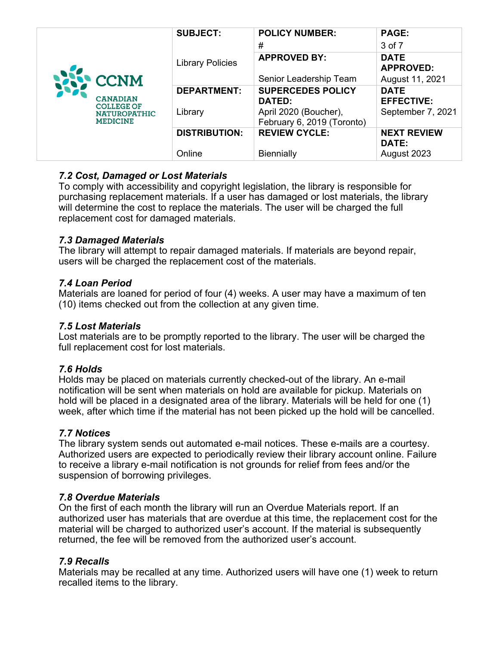|                                                                                                   | <b>SUBJECT:</b>         | <b>POLICY NUMBER:</b>                               | <b>PAGE:</b>                       |
|---------------------------------------------------------------------------------------------------|-------------------------|-----------------------------------------------------|------------------------------------|
| <b>NAP CONM</b><br><b>CANADIAN</b><br><b>COLLEGE OF</b><br><b>NATUROPATHIC</b><br><b>MEDICINE</b> |                         | #                                                   | 3 of 7                             |
|                                                                                                   | <b>Library Policies</b> | <b>APPROVED BY:</b>                                 | <b>DATE</b><br><b>APPROVED:</b>    |
|                                                                                                   |                         | Senior Leadership Team                              | August 11, 2021                    |
|                                                                                                   | <b>DEPARTMENT:</b>      | <b>SUPERCEDES POLICY</b><br>DATED:                  | <b>DATE</b><br><b>EFFECTIVE:</b>   |
|                                                                                                   | Library                 | April 2020 (Boucher),<br>February 6, 2019 (Toronto) | September 7, 2021                  |
|                                                                                                   | <b>DISTRIBUTION:</b>    | <b>REVIEW CYCLE:</b>                                | <b>NEXT REVIEW</b><br><b>DATE:</b> |
|                                                                                                   | Online                  | <b>Biennially</b>                                   | August 2023                        |

## *7.2 Cost, Damaged or Lost Materials*

To comply with accessibility and copyright legislation, the library is responsible for purchasing replacement materials. If a user has damaged or lost materials, the library will determine the cost to replace the materials. The user will be charged the full replacement cost for damaged materials.

#### *7.3 Damaged Materials*

The library will attempt to repair damaged materials. If materials are beyond repair, users will be charged the replacement cost of the materials.

#### *7.4 Loan Period*

Materials are loaned for period of four (4) weeks. A user may have a maximum of ten (10) items checked out from the collection at any given time.

#### *7.5 Lost Materials*

Lost materials are to be promptly reported to the library. The user will be charged the full replacement cost for lost materials.

## *7.6 Holds*

Holds may be placed on materials currently checked-out of the library. An e-mail notification will be sent when materials on hold are available for pickup. Materials on hold will be placed in a designated area of the library. Materials will be held for one (1) week, after which time if the material has not been picked up the hold will be cancelled.

## *7.7 Notices*

The library system sends out automated e-mail notices. These e-mails are a courtesy. Authorized users are expected to periodically review their library account online. Failure to receive a library e-mail notification is not grounds for relief from fees and/or the suspension of borrowing privileges.

#### *7.8 Overdue Materials*

On the first of each month the library will run an Overdue Materials report. If an authorized user has materials that are overdue at this time, the replacement cost for the material will be charged to authorized user's account. If the material is subsequently returned, the fee will be removed from the authorized user's account.

## *7.9 Recalls*

Materials may be recalled at any time. Authorized users will have one (1) week to return recalled items to the library.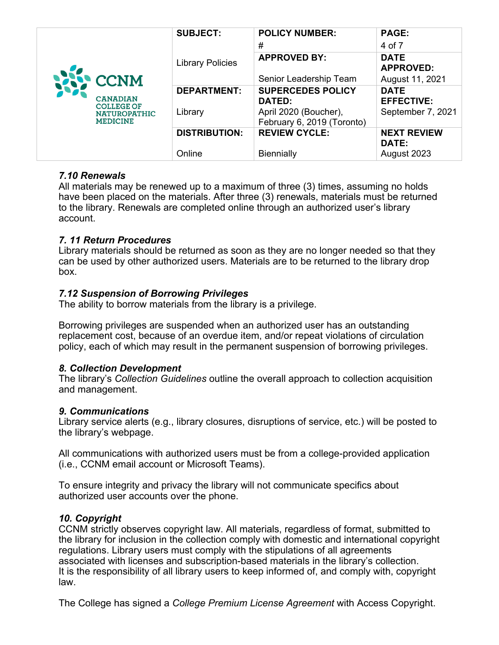| <b>NAME CONNE</b><br><b>CANADIAN</b><br><b>COLLEGE OF</b><br><b>NATUROPATHIC</b><br><b>MEDICINE</b> | <b>SUBJECT:</b>         | <b>POLICY NUMBER:</b>                               | <b>PAGE:</b>                     |
|-----------------------------------------------------------------------------------------------------|-------------------------|-----------------------------------------------------|----------------------------------|
|                                                                                                     |                         | #                                                   | 4 of 7                           |
|                                                                                                     | <b>Library Policies</b> | <b>APPROVED BY:</b>                                 | <b>DATE</b><br><b>APPROVED:</b>  |
|                                                                                                     |                         | Senior Leadership Team                              | August 11, 2021                  |
|                                                                                                     | <b>DEPARTMENT:</b>      | <b>SUPERCEDES POLICY</b><br><b>DATED:</b>           | <b>DATE</b><br><b>EFFECTIVE:</b> |
|                                                                                                     | Library                 | April 2020 (Boucher),<br>February 6, 2019 (Toronto) | September 7, 2021                |
|                                                                                                     | <b>DISTRIBUTION:</b>    | <b>REVIEW CYCLE:</b>                                | <b>NEXT REVIEW</b><br>DATE:      |
|                                                                                                     | Online                  | <b>Biennially</b>                                   | August 2023                      |

## *7.10 Renewals*

All materials may be renewed up to a maximum of three (3) times, assuming no holds have been placed on the materials. After three (3) renewals, materials must be returned to the library. Renewals are completed online through an authorized user's library account.

#### *7. 11 Return Procedures*

Library materials should be returned as soon as they are no longer needed so that they can be used by other authorized users. Materials are to be returned to the library drop box.

#### *7.12 Suspension of Borrowing Privileges*

The ability to borrow materials from the library is a privilege.

Borrowing privileges are suspended when an authorized user has an outstanding replacement cost, because of an overdue item, and/or repeat violations of circulation policy, each of which may result in the permanent suspension of borrowing privileges.

#### *8. Collection Development*

The library's *Collection Guidelines* outline the overall approach to collection acquisition and management.

#### *9. Communications*

Library service alerts (e.g., library closures, disruptions of service, etc.) will be posted to the library's webpage.

All communications with authorized users must be from a college-provided application (i.e., CCNM email account or Microsoft Teams).

To ensure integrity and privacy the library will not communicate specifics about authorized user accounts over the phone.

#### *10. Copyright*

CCNM strictly observes copyright law. All materials, regardless of format, submitted to the library for inclusion in the collection comply with domestic and international copyright regulations. Library users must comply with the stipulations of all agreements associated with licenses and subscription-based materials in the library's collection. It is the responsibility of all library users to keep informed of, and comply with, copyright law.

The College has signed a *College Premium License Agreement* with Access Copyright.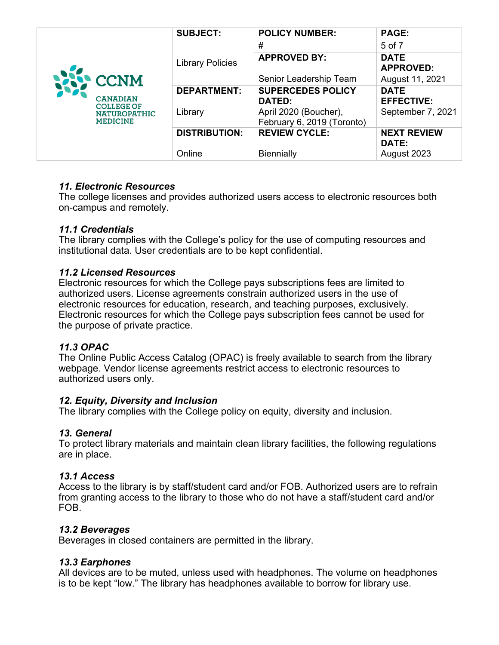|                                                                                                   | <b>SUBJECT:</b>         | <b>POLICY NUMBER:</b>                               | <b>PAGE:</b>                     |
|---------------------------------------------------------------------------------------------------|-------------------------|-----------------------------------------------------|----------------------------------|
| <b>NAP CCNM</b><br><b>CANADIAN</b><br><b>COLLEGE OF</b><br><b>NATUROPATHIC</b><br><b>MEDICINE</b> |                         | #                                                   | 5 of 7                           |
|                                                                                                   | <b>Library Policies</b> | <b>APPROVED BY:</b>                                 | <b>DATE</b><br><b>APPROVED:</b>  |
|                                                                                                   |                         | Senior Leadership Team                              | August 11, 2021                  |
|                                                                                                   | <b>DEPARTMENT:</b>      | <b>SUPERCEDES POLICY</b><br>DATED:                  | <b>DATE</b><br><b>EFFECTIVE:</b> |
|                                                                                                   | Library                 | April 2020 (Boucher),<br>February 6, 2019 (Toronto) | September 7, 2021                |
|                                                                                                   | <b>DISTRIBUTION:</b>    | <b>REVIEW CYCLE:</b>                                | <b>NEXT REVIEW</b><br>DATE:      |
|                                                                                                   | Online                  | <b>Biennially</b>                                   | August 2023                      |

## *11. Electronic Resources*

The college licenses and provides authorized users access to electronic resources both on-campus and remotely.

#### *11.1 Credentials*

The library complies with the College's policy for the use of computing resources and institutional data. User credentials are to be kept confidential.

#### *11.2 Licensed Resources*

Electronic resources for which the College pays subscriptions fees are limited to authorized users. License agreements constrain authorized users in the use of electronic resources for education, research, and teaching purposes, exclusively. Electronic resources for which the College pays subscription fees cannot be used for the purpose of private practice.

## *11.3 OPAC*

The Online Public Access Catalog (OPAC) is freely available to search from the library webpage. Vendor license agreements restrict access to electronic resources to authorized users only.

## *12. Equity, Diversity and Inclusion*

The library complies with the College policy on equity, diversity and inclusion.

## *13. General*

To protect library materials and maintain clean library facilities, the following regulations are in place.

#### *13.1 Access*

Access to the library is by staff/student card and/or FOB. Authorized users are to refrain from granting access to the library to those who do not have a staff/student card and/or FOB.

#### *13.2 Beverages*

Beverages in closed containers are permitted in the library.

## *13.3 Earphones*

All devices are to be muted, unless used with headphones. The volume on headphones is to be kept "low." The library has headphones available to borrow for library use.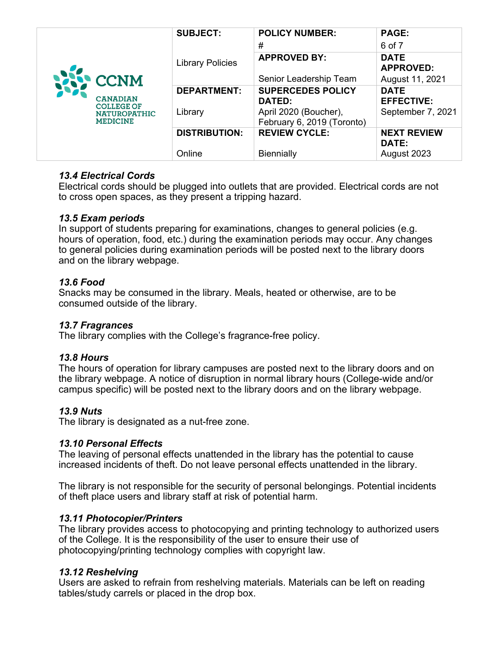|                                                                                                    | <b>SUBJECT:</b>         | <b>POLICY NUMBER:</b>                               | <b>PAGE:</b>                     |
|----------------------------------------------------------------------------------------------------|-------------------------|-----------------------------------------------------|----------------------------------|
| <b>NAPP CCNM</b><br><b>CANADIAN</b><br><b>COLLEGE OF</b><br><b>NATUROPATHIC</b><br><b>MEDICINE</b> |                         | #                                                   | 6 of 7                           |
|                                                                                                    | <b>Library Policies</b> | <b>APPROVED BY:</b>                                 | <b>DATE</b><br><b>APPROVED:</b>  |
|                                                                                                    |                         | Senior Leadership Team                              | August 11, 2021                  |
|                                                                                                    | <b>DEPARTMENT:</b>      | <b>SUPERCEDES POLICY</b><br>DATED:                  | <b>DATE</b><br><b>EFFECTIVE:</b> |
|                                                                                                    | Library                 | April 2020 (Boucher),<br>February 6, 2019 (Toronto) | September 7, 2021                |
|                                                                                                    | <b>DISTRIBUTION:</b>    | <b>REVIEW CYCLE:</b>                                | <b>NEXT REVIEW</b><br>DATE:      |
|                                                                                                    | Online                  | <b>Biennially</b>                                   | August 2023                      |

## *13.4 Electrical Cords*

Electrical cords should be plugged into outlets that are provided. Electrical cords are not to cross open spaces, as they present a tripping hazard.

## *13.5 Exam periods*

In support of students preparing for examinations, changes to general policies (e.g. hours of operation, food, etc.) during the examination periods may occur. Any changes to general policies during examination periods will be posted next to the library doors and on the library webpage.

# *13.6 Food*

Snacks may be consumed in the library. Meals, heated or otherwise, are to be consumed outside of the library.

## *13.7 Fragrances*

The library complies with the College's fragrance-free policy.

## *13.8 Hours*

The hours of operation for library campuses are posted next to the library doors and on the library webpage. A notice of disruption in normal library hours (College-wide and/or campus specific) will be posted next to the library doors and on the library webpage.

# *13.9 Nuts*

The library is designated as a nut-free zone.

## *13.10 Personal Effects*

The leaving of personal effects unattended in the library has the potential to cause increased incidents of theft. Do not leave personal effects unattended in the library.

The library is not responsible for the security of personal belongings. Potential incidents of theft place users and library staff at risk of potential harm.

## *13.11 Photocopier/Printers*

The library provides access to photocopying and printing technology to authorized users of the College. It is the responsibility of the user to ensure their use of photocopying/printing technology complies with copyright law.

## *13.12 Reshelving*

Users are asked to refrain from reshelving materials. Materials can be left on reading tables/study carrels or placed in the drop box.